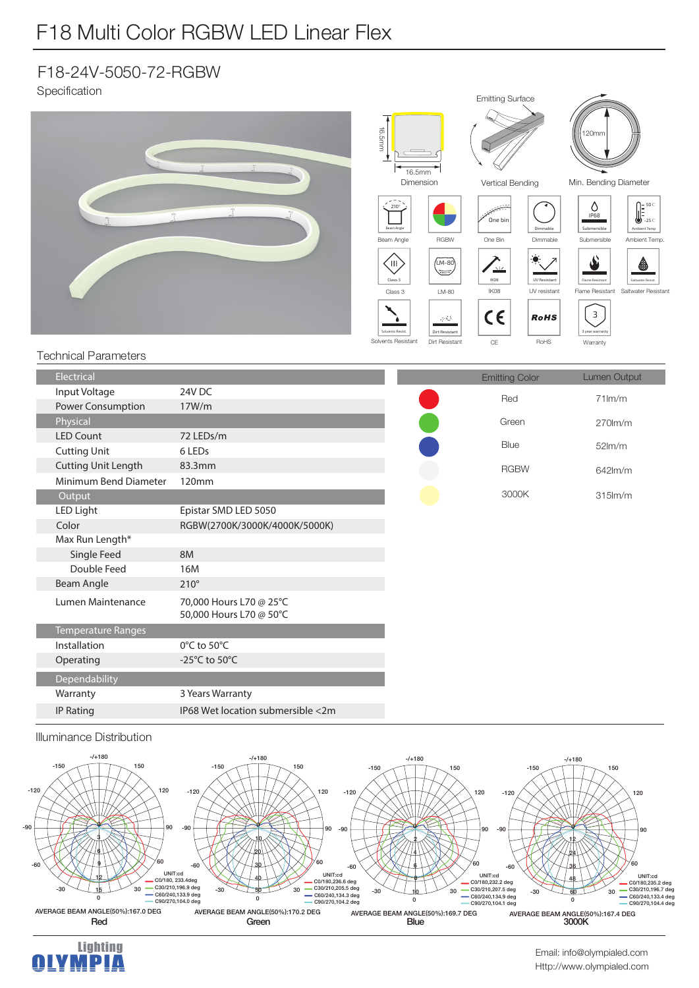## F18 Multi Color RGBW LED Linear Flex

### F18-24V-5050-72-RGBW

Specification



#### Illuminance Distribution